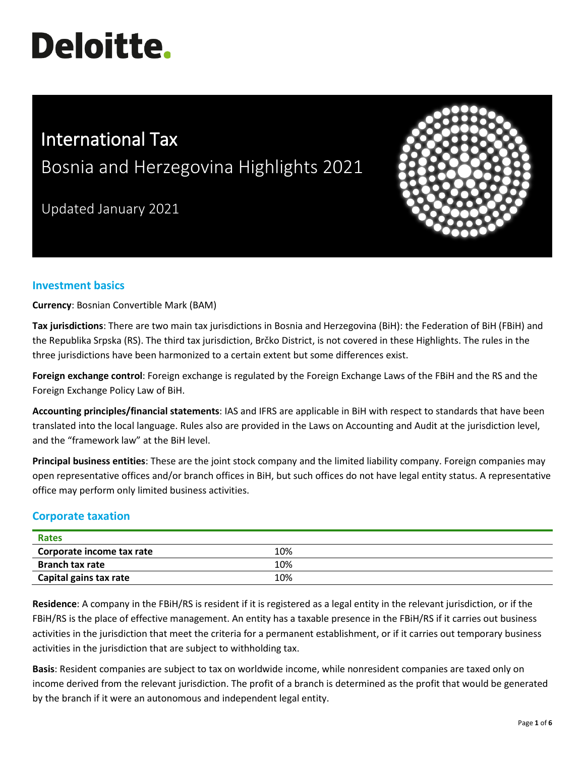# **Deloitte.**

# International Tax

Bosnia and Herzegovina Highlights 2021

Updated January 2021



# **Investment basics**

**Currency**: Bosnian Convertible Mark (BAM)

**Tax jurisdictions**: There are two main tax jurisdictions in Bosnia and Herzegovina (BiH): the Federation of BiH (FBiH) and the Republika Srpska (RS). The third tax jurisdiction, Brčko District, is not covered in these Highlights. The rules in the three jurisdictions have been harmonized to a certain extent but some differences exist.

**Foreign exchange control**: Foreign exchange is regulated by the Foreign Exchange Laws of the FBiH and the RS and the Foreign Exchange Policy Law of BiH.

**Accounting principles/financial statements**: IAS and IFRS are applicable in BiH with respect to standards that have been translated into the local language. Rules also are provided in the Laws on Accounting and Audit at the jurisdiction level, and the "framework law" at the BiH level.

**Principal business entities**: These are the joint stock company and the limited liability company. Foreign companies may open representative offices and/or branch offices in BiH, but such offices do not have legal entity status. A representative office may perform only limited business activities.

# **Corporate taxation**

| Rates                     |     |  |
|---------------------------|-----|--|
| Corporate income tax rate | 10% |  |
| <b>Branch tax rate</b>    | 10% |  |
| Capital gains tax rate    | 10% |  |

**Residence**: A company in the FBiH/RS is resident if it is registered as a legal entity in the relevant jurisdiction, or if the FBiH/RS is the place of effective management. An entity has a taxable presence in the FBiH/RS if it carries out business activities in the jurisdiction that meet the criteria for a permanent establishment, or if it carries out temporary business activities in the jurisdiction that are subject to withholding tax.

**Basis**: Resident companies are subject to tax on worldwide income, while nonresident companies are taxed only on income derived from the relevant jurisdiction. The profit of a branch is determined as the profit that would be generated by the branch if it were an autonomous and independent legal entity.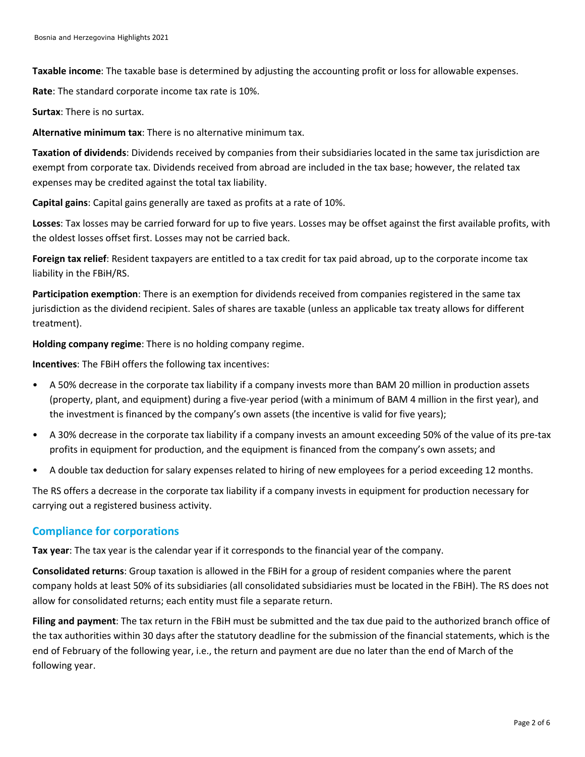**Taxable income**: The taxable base is determined by adjusting the accounting profit or loss for allowable expenses.

**Rate**: The standard corporate income tax rate is 10%.

**Surtax**: There is no surtax.

**Alternative minimum tax**: There is no alternative minimum tax.

**Taxation of dividends**: Dividends received by companies from their subsidiaries located in the same tax jurisdiction are exempt from corporate tax. Dividends received from abroad are included in the tax base; however, the related tax expenses may be credited against the total tax liability.

**Capital gains**: Capital gains generally are taxed as profits at a rate of 10%.

**Losses**: Tax losses may be carried forward for up to five years. Losses may be offset against the first available profits, with the oldest losses offset first. Losses may not be carried back.

**Foreign tax relief**: Resident taxpayers are entitled to a tax credit for tax paid abroad, up to the corporate income tax liability in the FBiH/RS.

**Participation exemption**: There is an exemption for dividends received from companies registered in the same tax jurisdiction as the dividend recipient. Sales of shares are taxable (unless an applicable tax treaty allows for different treatment).

**Holding company regime**: There is no holding company regime.

**Incentives**: The FBiH offers the following tax incentives:

- A 50% decrease in the corporate tax liability if a company invests more than BAM 20 million in production assets (property, plant, and equipment) during a five-year period (with a minimum of BAM 4 million in the first year), and the investment is financed by the company's own assets (the incentive is valid for five years);
- A 30% decrease in the corporate tax liability if a company invests an amount exceeding 50% of the value of its pre-tax profits in equipment for production, and the equipment is financed from the company's own assets; and
- A double tax deduction for salary expenses related to hiring of new employees for a period exceeding 12 months.

The RS offers a decrease in the corporate tax liability if a company invests in equipment for production necessary for carrying out a registered business activity.

### **Compliance for corporations**

**Tax year**: The tax year is the calendar year if it corresponds to the financial year of the company.

**Consolidated returns**: Group taxation is allowed in the FBiH for a group of resident companies where the parent company holds at least 50% of its subsidiaries (all consolidated subsidiaries must be located in the FBiH). The RS does not allow for consolidated returns; each entity must file a separate return.

**Filing and payment**: The tax return in the FBiH must be submitted and the tax due paid to the authorized branch office of the tax authorities within 30 days after the statutory deadline for the submission of the financial statements, which is the end of February of the following year, i.e., the return and payment are due no later than the end of March of the following year.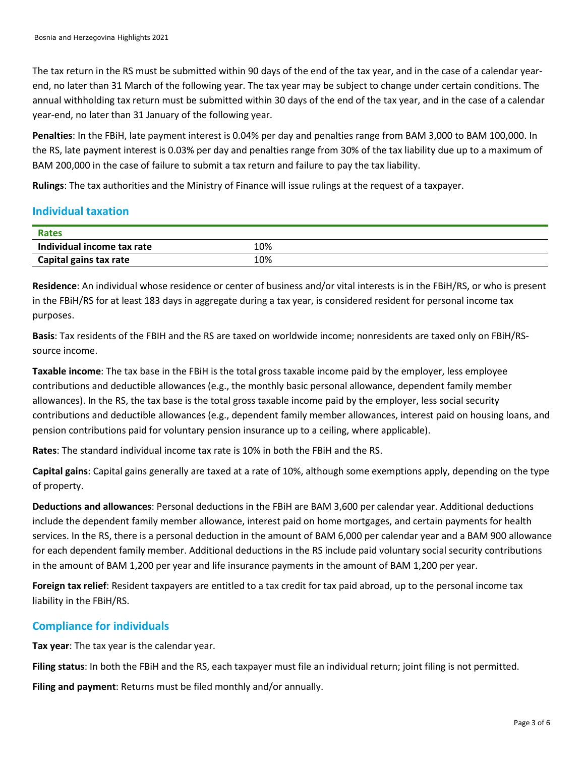The tax return in the RS must be submitted within 90 days of the end of the tax year, and in the case of a calendar yearend, no later than 31 March of the following year. The tax year may be subject to change under certain conditions. The annual withholding tax return must be submitted within 30 days of the end of the tax year, and in the case of a calendar year-end, no later than 31 January of the following year.

**Penalties**: In the FBiH, late payment interest is 0.04% per day and penalties range from BAM 3,000 to BAM 100,000. In the RS, late payment interest is 0.03% per day and penalties range from 30% of the tax liability due up to a maximum of BAM 200,000 in the case of failure to submit a tax return and failure to pay the tax liability.

**Rulings**: The tax authorities and the Ministry of Finance will issue rulings at the request of a taxpayer.

# **Individual taxation**

| Rates                      |     |  |
|----------------------------|-----|--|
| Individual income tax rate | 10% |  |
| Capital gains tax rate     | 10% |  |

**Residence**: An individual whose residence or center of business and/or vital interests is in the FBiH/RS, or who is present in the FBiH/RS for at least 183 days in aggregate during a tax year, is considered resident for personal income tax purposes.

**Basis**: Tax residents of the FBIH and the RS are taxed on worldwide income; nonresidents are taxed only on FBiH/RSsource income.

**Taxable income**: The tax base in the FBiH is the total gross taxable income paid by the employer, less employee contributions and deductible allowances (e.g., the monthly basic personal allowance, dependent family member allowances). In the RS, the tax base is the total gross taxable income paid by the employer, less social security contributions and deductible allowances (e.g., dependent family member allowances, interest paid on housing loans, and pension contributions paid for voluntary pension insurance up to a ceiling, where applicable).

**Rates**: The standard individual income tax rate is 10% in both the FBiH and the RS.

**Capital gains**: Capital gains generally are taxed at a rate of 10%, although some exemptions apply, depending on the type of property.

**Deductions and allowances**: Personal deductions in the FBiH are BAM 3,600 per calendar year. Additional deductions include the dependent family member allowance, interest paid on home mortgages, and certain payments for health services. In the RS, there is a personal deduction in the amount of BAM 6,000 per calendar year and a BAM 900 allowance for each dependent family member. Additional deductions in the RS include paid voluntary social security contributions in the amount of BAM 1,200 per year and life insurance payments in the amount of BAM 1,200 per year.

**Foreign tax relief**: Resident taxpayers are entitled to a tax credit for tax paid abroad, up to the personal income tax liability in the FBiH/RS.

# **Compliance for individuals**

**Tax year**: The tax year is the calendar year.

**Filing status**: In both the FBiH and the RS, each taxpayer must file an individual return; joint filing is not permitted.

**Filing and payment**: Returns must be filed monthly and/or annually.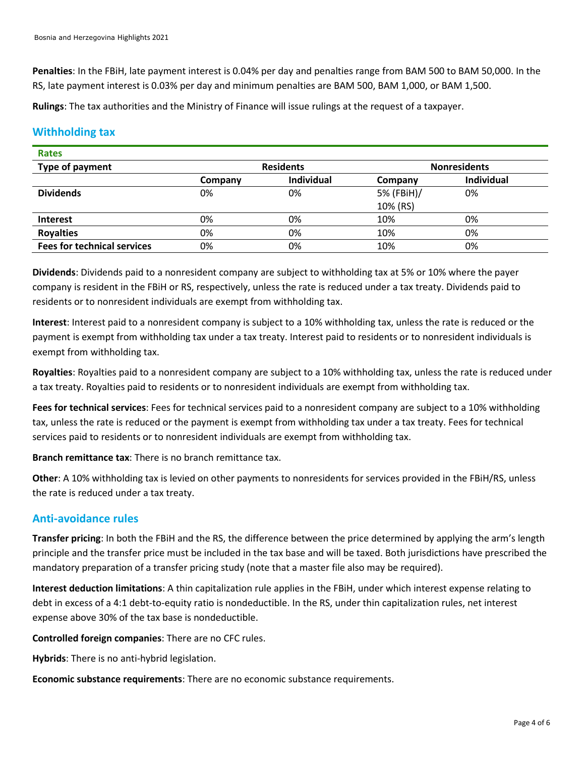**Penalties**: In the FBiH, late payment interest is 0.04% per day and penalties range from BAM 500 to BAM 50,000. In the RS, late payment interest is 0.03% per day and minimum penalties are BAM 500, BAM 1,000, or BAM 1,500.

**Rulings**: The tax authorities and the Ministry of Finance will issue rulings at the request of a taxpayer.

#### **Withholding tax**

| <b>Rates</b>                       |         |                  |            |                     |  |
|------------------------------------|---------|------------------|------------|---------------------|--|
| Type of payment                    |         | <b>Residents</b> |            | <b>Nonresidents</b> |  |
|                                    | Company | Individual       | Company    | <b>Individual</b>   |  |
| <b>Dividends</b>                   | 0%      | 0%               | 5% (FBiH)/ | 0%                  |  |
|                                    |         |                  | 10% (RS)   |                     |  |
| <b>Interest</b>                    | 0%      | 0%               | 10%        | 0%                  |  |
| <b>Royalties</b>                   | 0%      | 0%               | 10%        | 0%                  |  |
| <b>Fees for technical services</b> | 0%      | 0%               | 10%        | 0%                  |  |

**Dividends**: Dividends paid to a nonresident company are subject to withholding tax at 5% or 10% where the payer company is resident in the FBiH or RS, respectively, unless the rate is reduced under a tax treaty. Dividends paid to residents or to nonresident individuals are exempt from withholding tax.

**Interest**: Interest paid to a nonresident company is subject to a 10% withholding tax, unless the rate is reduced or the payment is exempt from withholding tax under a tax treaty. Interest paid to residents or to nonresident individuals is exempt from withholding tax.

**Royalties**: Royalties paid to a nonresident company are subject to a 10% withholding tax, unless the rate is reduced under a tax treaty. Royalties paid to residents or to nonresident individuals are exempt from withholding tax.

**Fees for technical services**: Fees for technical services paid to a nonresident company are subject to a 10% withholding tax, unless the rate is reduced or the payment is exempt from withholding tax under a tax treaty. Fees for technical services paid to residents or to nonresident individuals are exempt from withholding tax.

**Branch remittance tax**: There is no branch remittance tax.

**Other**: A 10% withholding tax is levied on other payments to nonresidents for services provided in the FBiH/RS, unless the rate is reduced under a tax treaty.

### **Anti-avoidance rules**

**Transfer pricing**: In both the FBiH and the RS, the difference between the price determined by applying the arm's length principle and the transfer price must be included in the tax base and will be taxed. Both jurisdictions have prescribed the mandatory preparation of a transfer pricing study (note that a master file also may be required).

**Interest deduction limitations**: A thin capitalization rule applies in the FBiH, under which interest expense relating to debt in excess of a 4:1 debt-to-equity ratio is nondeductible. In the RS, under thin capitalization rules, net interest expense above 30% of the tax base is nondeductible.

**Controlled foreign companies**: There are no CFC rules.

**Hybrids**: There is no anti-hybrid legislation.

**Economic substance requirements**: There are no economic substance requirements.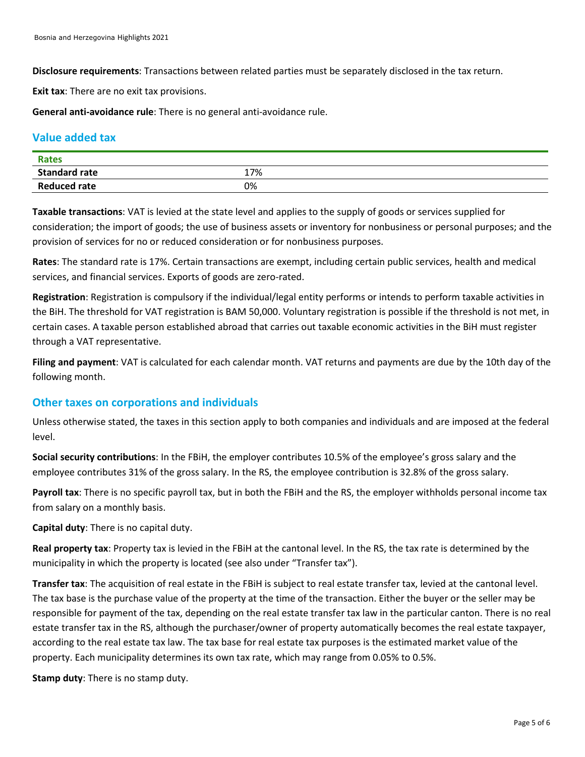**Disclosure requirements**: Transactions between related parties must be separately disclosed in the tax return.

**Exit tax**: There are no exit tax provisions.

**General anti-avoidance rule**: There is no general anti-avoidance rule.

#### **Value added tax**

| <b>Rates</b>         |     |
|----------------------|-----|
| <b>Standard rate</b> | 17% |
| <b>Reduced rate</b>  | 0%  |

**Taxable transactions**: VAT is levied at the state level and applies to the supply of goods or services supplied for consideration; the import of goods; the use of business assets or inventory for nonbusiness or personal purposes; and the provision of services for no or reduced consideration or for nonbusiness purposes.

**Rates**: The standard rate is 17%. Certain transactions are exempt, including certain public services, health and medical services, and financial services. Exports of goods are zero-rated.

**Registration**: Registration is compulsory if the individual/legal entity performs or intends to perform taxable activities in the BiH. The threshold for VAT registration is BAM 50,000. Voluntary registration is possible if the threshold is not met, in certain cases. A taxable person established abroad that carries out taxable economic activities in the BiH must register through a VAT representative.

**Filing and payment**: VAT is calculated for each calendar month. VAT returns and payments are due by the 10th day of the following month.

#### **Other taxes on corporations and individuals**

Unless otherwise stated, the taxes in this section apply to both companies and individuals and are imposed at the federal level.

**Social security contributions**: In the FBiH, the employer contributes 10.5% of the employee's gross salary and the employee contributes 31% of the gross salary. In the RS, the employee contribution is 32.8% of the gross salary.

**Payroll tax**: There is no specific payroll tax, but in both the FBiH and the RS, the employer withholds personal income tax from salary on a monthly basis.

**Capital duty**: There is no capital duty.

**Real property tax**: Property tax is levied in the FBiH at the cantonal level. In the RS, the tax rate is determined by the municipality in which the property is located (see also under "Transfer tax").

**Transfer tax**: The acquisition of real estate in the FBiH is subject to real estate transfer tax, levied at the cantonal level. The tax base is the purchase value of the property at the time of the transaction. Either the buyer or the seller may be responsible for payment of the tax, depending on the real estate transfer tax law in the particular canton. There is no real estate transfer tax in the RS, although the purchaser/owner of property automatically becomes the real estate taxpayer, according to the real estate tax law. The tax base for real estate tax purposes is the estimated market value of the property. Each municipality determines its own tax rate, which may range from 0.05% to 0.5%.

**Stamp duty**: There is no stamp duty.